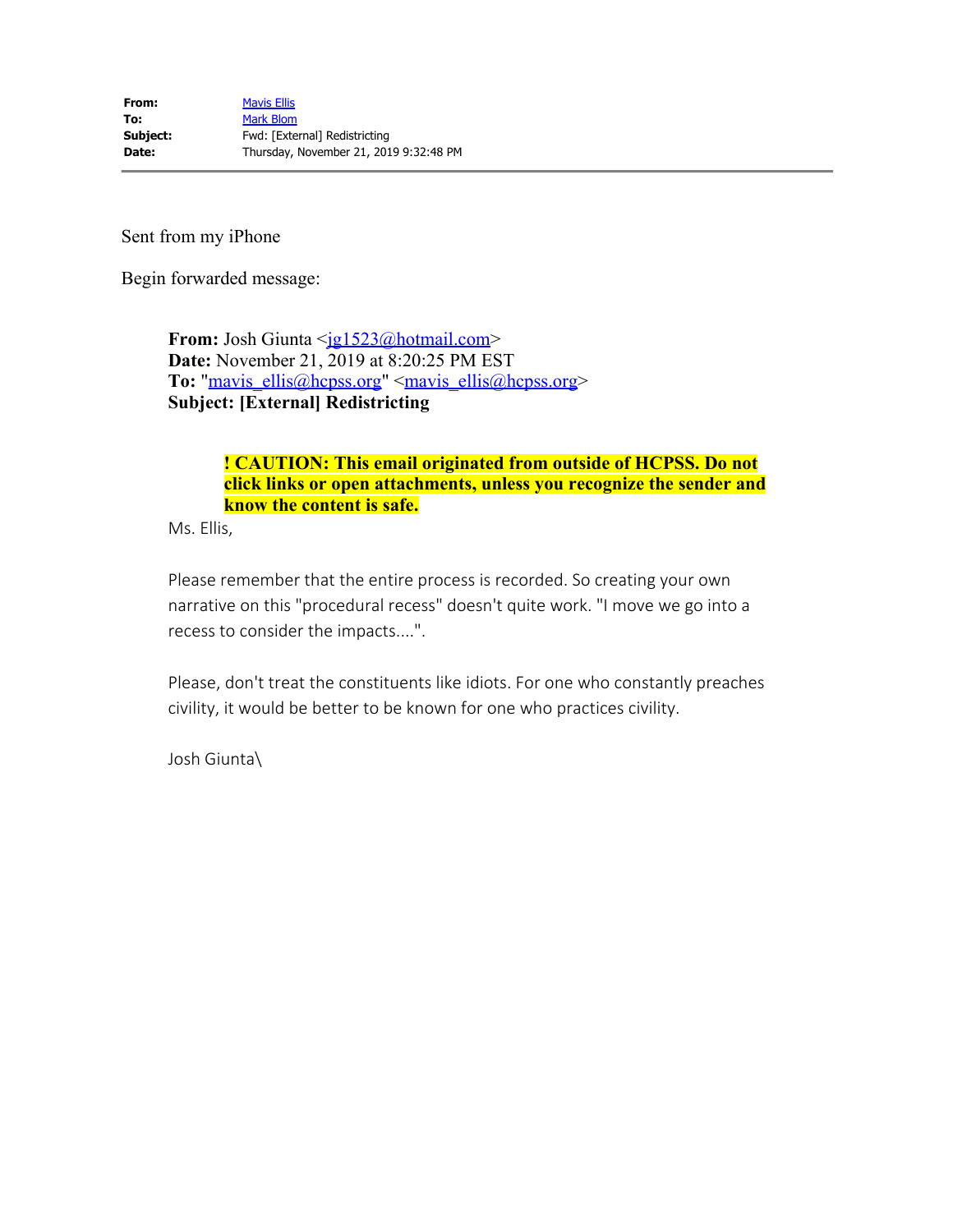Sent from my iPhone

Begin forwarded message:

**From:** Josh Giunta <<u>jg1523@hotmail.com</u>> **Date:** November 21, 2019 at 8:20:25 PM EST To: "mavis\_ellis@hcpss.org" <mavis\_ellis@hcpss.org> **Subject: [External] Redistricting** 

## **! CAUTION: This email originated from outside of HCPSS. Do not click links or open attachments, unless you recognize the sender and know the content is safe.**

Ms. Ellis,

Please remember that the entire process is recorded. So creating your own narrative on this "procedural recess" doesn't quite work. "I move we go into a recess to consider the impacts....".

Please, don't treat the constituents like idiots. For one who constantly preaches civility, it would be better to be known for one who practices civility.

Josh Giunta\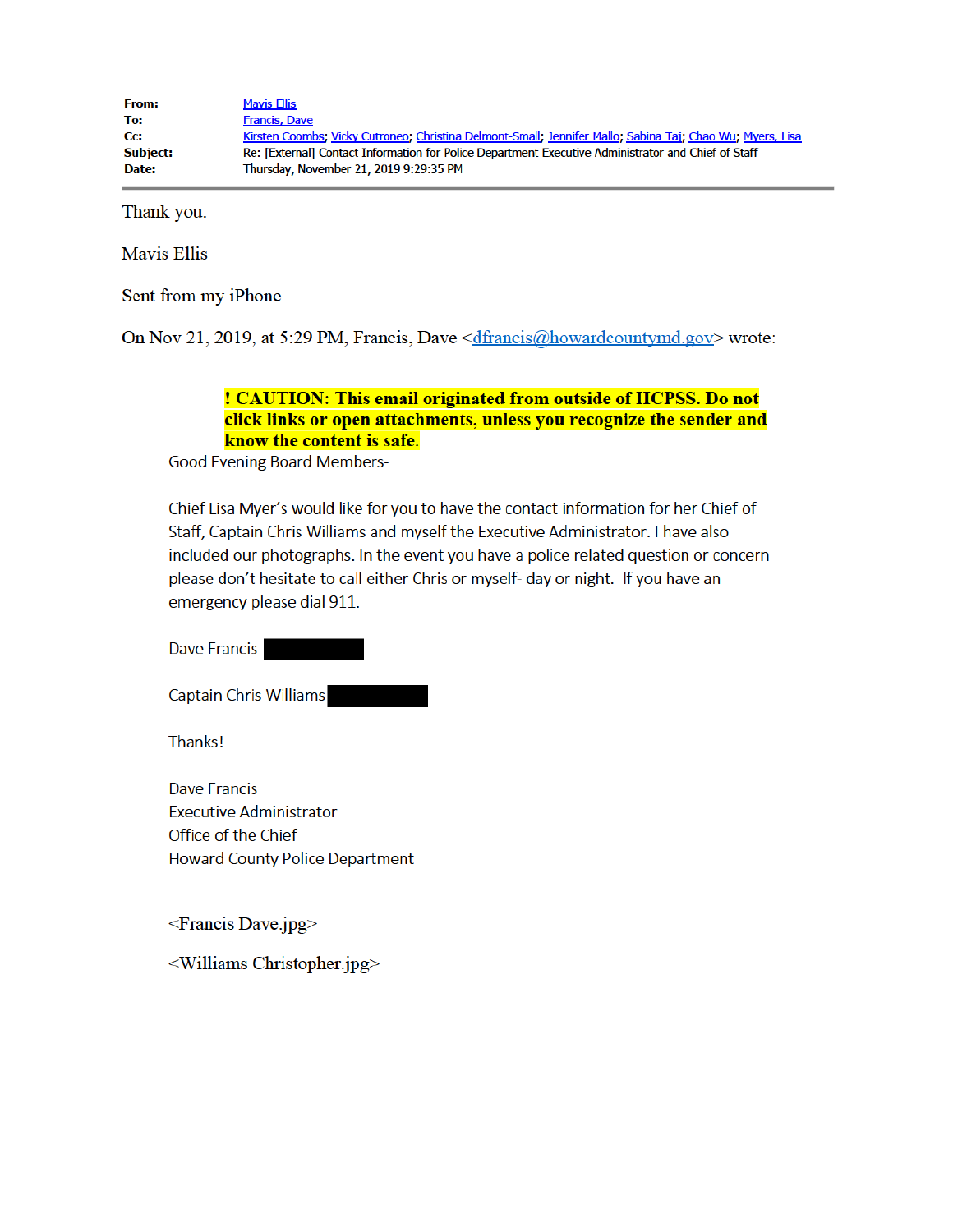| <b>From:</b>    | <b>Mavis Ellis</b>                                                                                        |
|-----------------|-----------------------------------------------------------------------------------------------------------|
| To:             | <b>Francis, Dave</b>                                                                                      |
| Cc:             | Kirsten Coombs: Vicky Cutroneo: Christina Delmont-Small: Jennifer Mallo: Sabina Tai: Chao Wu: Myers, Lisa |
| <b>Subject:</b> | Re: [External] Contact Information for Police Department Executive Administrator and Chief of Staff       |
| Date:           | Thursday, November 21, 2019 9:29:35 PM                                                                    |

Thank you.

**Mavis Ellis** 

Sent from my iPhone

On Nov 21, 2019, at 5:29 PM, Francis, Dave <*dfrancis@howardcountymd.gov*> wrote:

## ! CAUTION: This email originated from outside of HCPSS. Do not click links or open attachments, unless you recognize the sender and know the content is safe.

**Good Evening Board Members-**

Chief Lisa Myer's would like for you to have the contact information for her Chief of Staff, Captain Chris Williams and myself the Executive Administrator. I have also included our photographs. In the event you have a police related question or concern please don't hesitate to call either Chris or myself- day or night. If you have an emergency please dial 911.

Dave Francis

**Captain Chris Williams** 

**Thanks!** 

**Dave Francis Executive Administrator** Office of the Chief **Howard County Police Department** 

<Francis Dave.jpg>

<Williams Christopher.jpg>